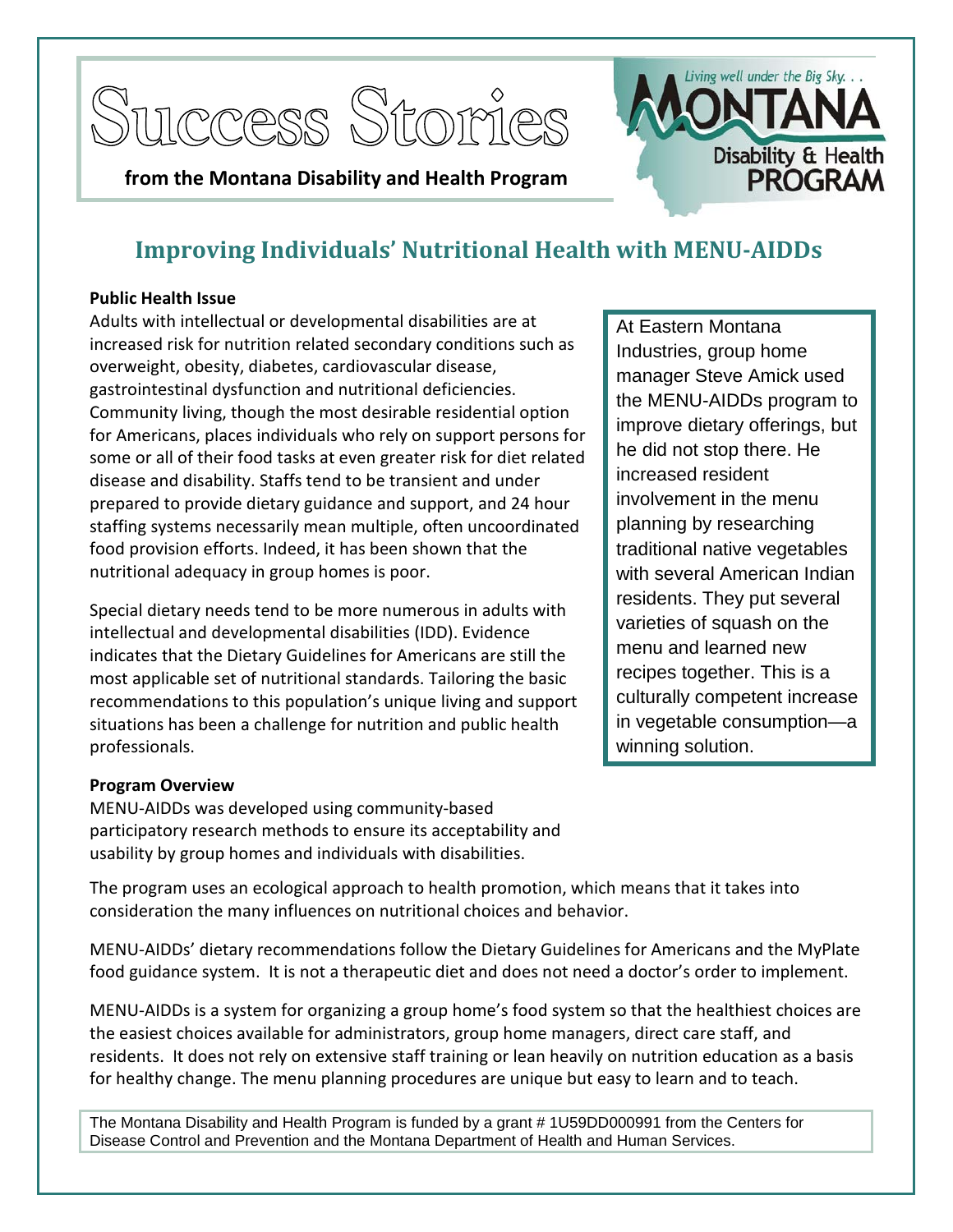





# **Improving Individuals' Nutritional Health with MENU-AIDDs**

#### **Public Health Issue**

Adults with intellectual or developmental disabilities are at increased risk for nutrition related secondary conditions such as overweight, obesity, diabetes, cardiovascular disease, gastrointestinal dysfunction and nutritional deficiencies. Community living, though the most desirable residential option for Americans, places individuals who rely on support persons for some or all of their food tasks at even greater risk for diet related disease and disability. Staffs tend to be transient and under prepared to provide dietary guidance and support, and 24 hour staffing systems necessarily mean multiple, often uncoordinated food provision efforts. Indeed, it has been shown that the nutritional adequacy in group homes is poor.

Special dietary needs tend to be more numerous in adults with intellectual and developmental disabilities (IDD). Evidence indicates that the Dietary Guidelines for Americans are still the most applicable set of nutritional standards. Tailoring the basic recommendations to this population's unique living and support situations has been a challenge for nutrition and public health professionals.

At Eastern Montana Industries, group home manager Steve Amick used the MENU-AIDDs program to improve dietary offerings, but he did not stop there. He increased resident involvement in the menu planning by researching traditional native vegetables with several American Indian residents. They put several varieties of squash on the menu and learned new recipes together. This is a culturally competent increase in vegetable consumption—a winning solution.

## **Program Overview**

MENU-AIDDs was developed using community-based participatory research methods to ensure its acceptability and usability by group homes and individuals with disabilities.

The program uses an ecological approach to health promotion, which means that it takes into consideration the many influences on nutritional choices and behavior.

MENU-AIDDs' dietary recommendations follow the Dietary Guidelines for Americans and the MyPlate food guidance system. It is not a therapeutic diet and does not need a doctor's order to implement.

MENU-AIDDs is a system for organizing a group home's food system so that the healthiest choices are the easiest choices available for administrators, group home managers, direct care staff, and residents. It does not rely on extensive staff training or lean heavily on nutrition education as a basis for healthy change. The menu planning procedures are unique but easy to learn and to teach.

The Montana Disability and Health Program is funded by a grant # 1U59DD000991 from the Centers for Disease Control and Prevention and the Montana Department of Health and Human Services.